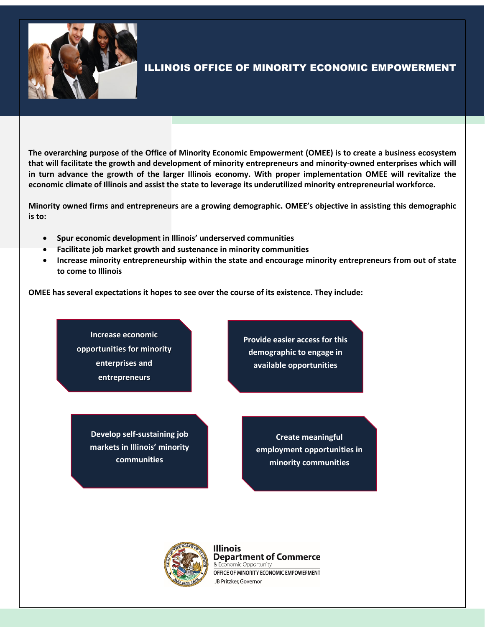

# ILLINOIS OFFICE OF MINORITY ECONOMIC EMPOWERMENT

**The overarching purpose of the Office of Minority Economic Empowerment (OMEE) is to create a business ecosystem that will facilitate the growth and development of minority entrepreneurs and minority-owned enterprises which will in turn advance the growth of the larger Illinois economy. With proper implementation OMEE will revitalize the economic climate of Illinois and assist the state to leverage its underutilized minority entrepreneurial workforce.** 

**Minority owned firms and entrepreneurs are a growing demographic. OMEE's objective in assisting this demographic is to:** 

- **Spur economic development in Illinois' underserved communities**
- **Facilitate job market growth and sustenance in minority communities**
- **Increase minority entrepreneurship within the state and encourage minority entrepreneurs from out of state to come to Illinois**

**OMEE has several expectations it hopes to see over the course of its existence. They include:** 

**Increase economic opportunities for minority enterprises and entrepreneurs**

**Provide easier access for this demographic to engage in available opportunities**

**Develop self-sustaining job markets in Illinois' minority communities**

**Create meaningful employment opportunities in minority communities**



**Illinois Department of Commerce** & Economic Opportunity OFFICE OF MINORITY ECONOMIC EMPOWERMENT JB Pritzker, Governor